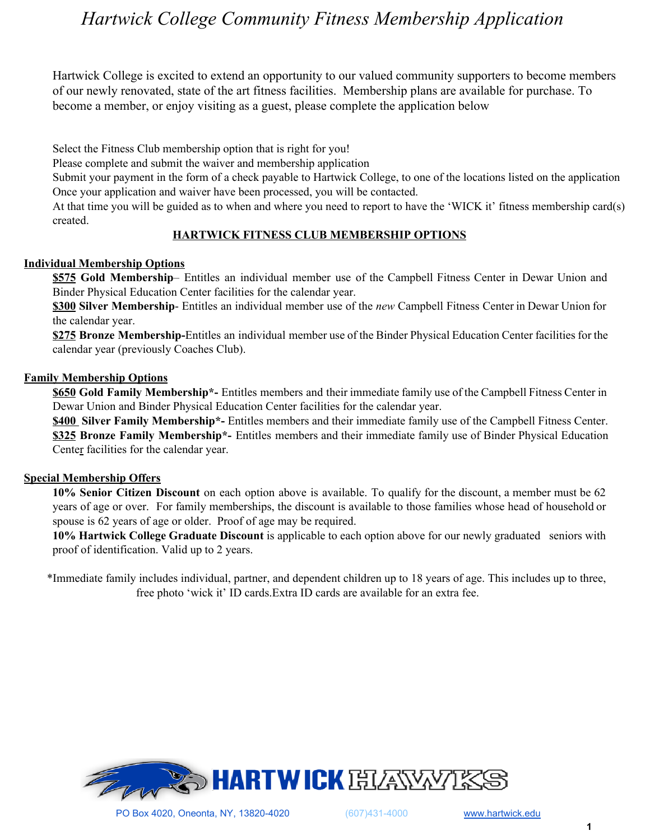# *Hartwick College Community Fitness Membership Application*

Hartwick College is excited to extend an opportunity to our valued community supporters to become members of our newly renovated, state of the art fitness facilities. Membership plans are available for purchase. To become a member, or enjoy visiting as a guest, please complete the application below

Select the Fitness Club membership option that is right for you!

Please complete and submit the waiver and membership application

Submit your payment in the form of a check payable to Hartwick College, to one of the locations listed on the application Once your application and waiver have been processed, you will be contacted.

At that time you will be guided as to when and where you need to report to have the 'WICK it' fitness membership card(s) created.

### **HARTWICK FITNESS CLUB MEMBERSHIP OPTIONS**

#### **Individual Membership Options**

**\$575 Gold Membership**– Entitles an individual member use of the Campbell Fitness Center in Dewar Union and Binder Physical Education Center facilities for the calendar year.

**\$300 Silver Membership**- Entitles an individual member use of the *new* Campbell Fitness Center in Dewar Union for the calendar year.

**\$275 Bronze Membership-**Entitles an individual member use of the Binder Physical Education Center facilities for the calendar year (previously Coaches Club).

#### **Family Membership Options**

**\$650 Gold Family Membership\*-** Entitles members and their immediate family use of the Campbell Fitness Center in Dewar Union and Binder Physical Education Center facilities for the calendar year.

**\$400 Silver Family Membership\*-** Entitles members and their immediate family use of the Campbell Fitness Center. **\$325 Bronze Family Membership\*-** Entitles members and their immediate family use of Binder Physical Education Center facilities for the calendar year.

### **Special Membership Offers**

**10% Senior Citizen Discount** on each option above is available. To qualify for the discount, a member must be 62 years of age or over. For family memberships, the discount is available to those families whose head of household or spouse is 62 years of age or older. Proof of age may be required.

**10% Hartwick College Graduate Discount** is applicable to each option above for our newly graduated seniors with proof of identification. Valid up to 2 years.

\*Immediate family includes individual, partner, and dependent children up to 18 years of age. This includes up to three, free photo 'wick it' ID cards.Extra ID cards are available for an extra fee.

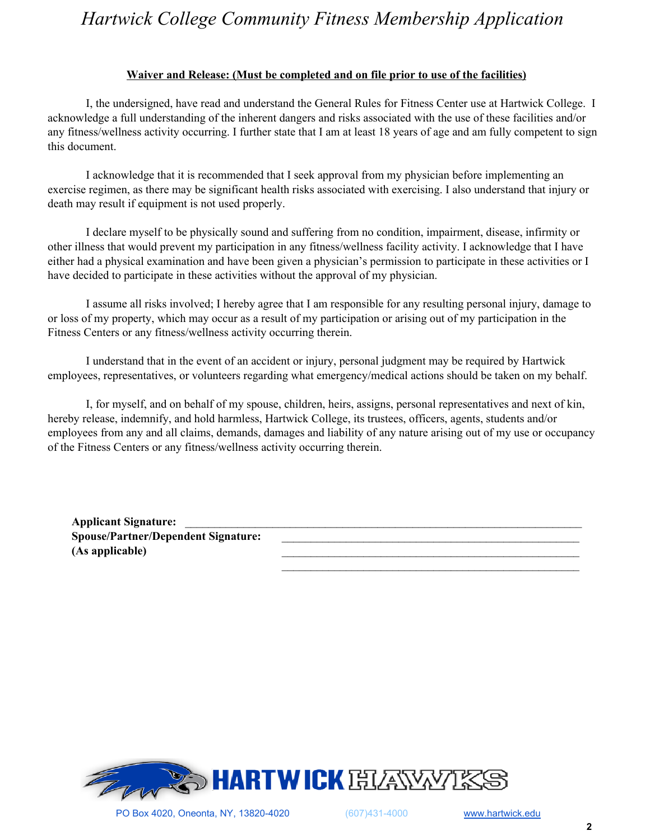# *Hartwick College Community Fitness Membership Application*

#### **Waiver and Release: (Must be completed and on file prior to use of the facilities)**

I, the undersigned, have read and understand the General Rules for Fitness Center use at Hartwick College. I acknowledge a full understanding of the inherent dangers and risks associated with the use of these facilities and/or any fitness/wellness activity occurring. I further state that I am at least 18 years of age and am fully competent to sign this document.

I acknowledge that it is recommended that I seek approval from my physician before implementing an exercise regimen, as there may be significant health risks associated with exercising. I also understand that injury or death may result if equipment is not used properly.

I declare myself to be physically sound and suffering from no condition, impairment, disease, infirmity or other illness that would prevent my participation in any fitness/wellness facility activity. I acknowledge that I have either had a physical examination and have been given a physician's permission to participate in these activities or I have decided to participate in these activities without the approval of my physician.

I assume all risks involved; I hereby agree that I am responsible for any resulting personal injury, damage to or loss of my property, which may occur as a result of my participation or arising out of my participation in the Fitness Centers or any fitness/wellness activity occurring therein.

I understand that in the event of an accident or injury, personal judgment may be required by Hartwick employees, representatives, or volunteers regarding what emergency/medical actions should be taken on my behalf.

I, for myself, and on behalf of my spouse, children, heirs, assigns, personal representatives and next of kin, hereby release, indemnify, and hold harmless, Hartwick College, its trustees, officers, agents, students and/or employees from any and all claims, demands, damages and liability of any nature arising out of my use or occupancy of the Fitness Centers or any fitness/wellness activity occurring therein.

**Applicant Signature:** \_\_\_\_\_\_\_\_\_\_\_\_\_\_\_\_\_\_\_\_\_\_\_\_\_\_\_\_\_\_\_\_\_\_\_\_\_\_\_\_\_\_\_\_\_\_\_\_\_\_\_\_\_\_\_\_\_\_\_\_\_\_\_\_\_\_\_\_ **Spouse/Partner/Dependent Signature:** \_\_\_\_\_\_\_\_\_\_\_\_\_\_\_\_\_\_\_\_\_\_\_\_\_\_\_\_\_\_\_\_\_\_\_\_\_\_\_\_\_\_\_\_\_\_\_\_\_\_\_ **(As applicable)** \_\_\_\_\_\_\_\_\_\_\_\_\_\_\_\_\_\_\_\_\_\_\_\_\_\_\_\_\_\_\_\_\_\_\_\_\_\_\_\_\_\_\_\_\_\_\_\_\_\_\_



 $\mathcal{L}_\text{max}$  and the contract of the contract of the contract of the contract of the contract of the contract of the contract of the contract of the contract of the contract of the contract of the contract of the contrac